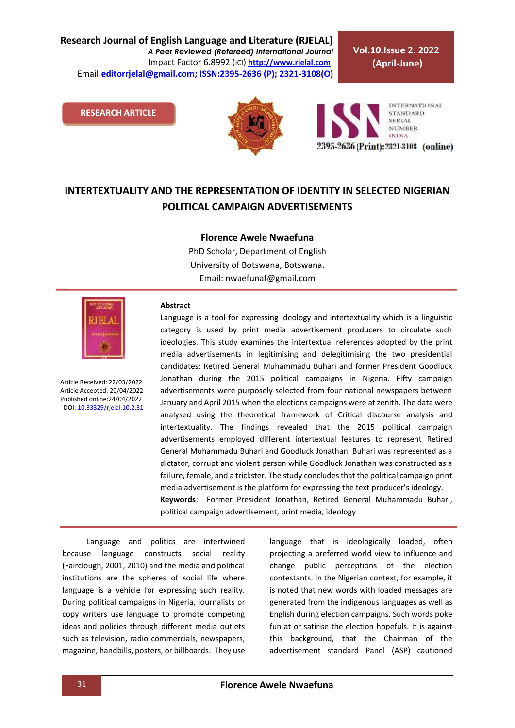**Vol.10.Issue 2. 2022 (April-June)**

#### **RESEARCH ARTICLE**





# **INTERTEXTUALITY AND THE REPRESENTATION OF IDENTITY IN SELECTED NIGERIAN POLITICAL CAMPAIGN ADVERTISEMENTS**

#### **Florence Awele Nwaefuna**

PhD Scholar, Department of English University of Botswana, Botswana. Email[: nwaefunaf@gmail.com](mailto:nwaefunaf@gmail.com)



Article Received: 22/03/2022 Article Accepted: 20/04/2022 Published online:24/04/2022 DOI[: 10.33329/rjelal.10.2.3](http://www.rjelal.com/)1

#### **Abstract**

Language is a tool for expressing ideology and intertextuality which is a linguistic category is used by print media advertisement producers to circulate such ideologies. This study examines the intertextual references adopted by the print media advertisements in legitimising and delegitimising the two presidential candidates: Retired General Muhammadu Buhari and former President Goodluck Jonathan during the 2015 political campaigns in Nigeria. Fifty campaign advertisements were purposely selected from four national newspapers between January and April 2015 when the elections campaigns were at zenith. The data were analysed using the theoretical framework of Critical discourse analysis and intertextuality. The findings revealed that the 2015 political campaign advertisements employed different intertextual features to represent Retired General Muhammadu Buhari and Goodluck Jonathan. Buhari was represented as a dictator, corrupt and violent person while Goodluck Jonathan was constructed as a failure, female, and a trickster. The study concludes that the political campaign print media advertisement is the platform for expressing the text producer's ideology. **Keywords**: Former President Jonathan, Retired General Muhammadu Buhari, political campaign advertisement, print media, ideology

Language and politics are intertwined because language constructs social reality (Fairclough, 2001, 2010) and the media and political institutions are the spheres of social life where language is a vehicle for expressing such reality. During political campaigns in Nigeria, journalists or copy writers use language to promote competing ideas and policies through different media outlets such as television, radio commercials, newspapers, magazine, handbills, posters, or billboards. They use language that is ideologically loaded, often projecting a preferred world view to influence and change public perceptions of the election contestants. In the Nigerian context, for example, it is noted that new words with loaded messages are generated from the indigenous languages as well as English during election campaigns. Such words poke fun at or satirise the election hopefuls. It is against this background, that the Chairman of the advertisement standard Panel (ASP) cautioned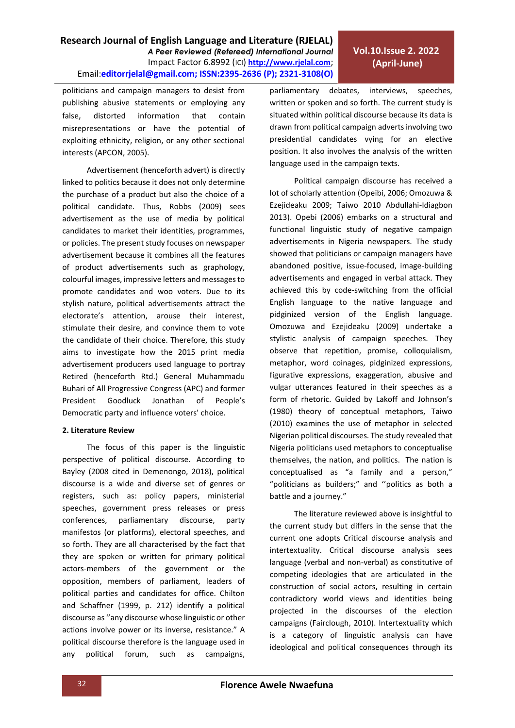politicians and campaign managers to desist from publishing abusive statements or employing any false, distorted information that contain misrepresentations or have the potential of exploiting ethnicity, religion, or any other sectional interests (APCON, 2005).

Advertisement (henceforth advert) is directly linked to politics because it does not only determine the purchase of a product but also the choice of a political candidate. Thus, Robbs (2009) sees advertisement as the use of media by political candidates to market their identities, programmes, or policies. The present study focuses on newspaper advertisement because it combines all the features of product advertisements such as graphology, colourful images, impressive letters and messages to promote candidates and woo voters. Due to its stylish nature, political advertisements attract the electorate's attention, arouse their interest, stimulate their desire, and convince them to vote the candidate of their choice. Therefore, this study aims to investigate how the 2015 print media advertisement producers used language to portray Retired (henceforth Rtd.) General Muhammadu Buhari of All Progressive Congress (APC) and former President Goodluck Jonathan of People's Democratic party and influence voters' choice.

## **2. Literature Review**

The focus of this paper is the linguistic perspective of political discourse. According to Bayley (2008 cited in Demenongo, 2018), political discourse is a wide and diverse set of genres or registers, such as: policy papers, ministerial speeches, government press releases or press conferences, parliamentary discourse, party manifestos (or platforms), electoral speeches, and so forth. They are all characterised by the fact that they are spoken or written for primary political actors-members of the government or the opposition, members of parliament, leaders of political parties and candidates for office. Chilton and Schaffner (1999, p. 212) identify a political discourse as ''any discourse whose linguistic or other actions involve power or its inverse, resistance." A political discourse therefore is the language used in any political forum, such as campaigns,

parliamentary debates, interviews, speeches, written or spoken and so forth. The current study is situated within political discourse because its data is drawn from political campaign adverts involving two presidential candidates vying for an elective position. It also involves the analysis of the written language used in the campaign texts.

Political campaign discourse has received a lot of scholarly attention (Opeibi, 2006; Omozuwa & Ezejideaku 2009; Taiwo 2010 Abdullahi-Idiagbon 2013). Opebi (2006) embarks on a structural and functional linguistic study of negative campaign advertisements in Nigeria newspapers. The study showed that politicians or campaign managers have abandoned positive, issue-focused, image-building advertisements and engaged in verbal attack. They achieved this by code-switching from the official English language to the native language and pidginized version of the English language. Omozuwa and Ezejideaku (2009) undertake a stylistic analysis of campaign speeches. They observe that repetition, promise, colloquialism, metaphor, word coinages, pidginized expressions, figurative expressions, exaggeration, abusive and vulgar utterances featured in their speeches as a form of rhetoric. Guided by Lakoff and Johnson's (1980) theory of conceptual metaphors, Taiwo (2010) examines the use of metaphor in selected Nigerian political discourses. The study revealed that Nigeria politicians used metaphors to conceptualise themselves, the nation, and politics. The nation is conceptualised as "a family and a person," "politicians as builders;" and ''politics as both a battle and a journey."

The literature reviewed above is insightful to the current study but differs in the sense that the current one adopts Critical discourse analysis and intertextuality. Critical discourse analysis sees language (verbal and non-verbal) as constitutive of competing ideologies that are articulated in the construction of social actors, resulting in certain contradictory world views and identities being projected in the discourses of the election campaigns (Fairclough, 2010). Intertextuality which is a category of linguistic analysis can have ideological and political consequences through its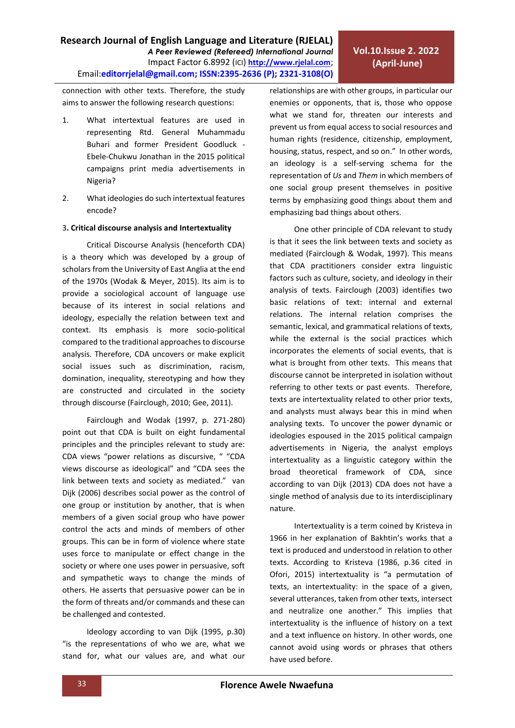connection with other texts. Therefore, the study aims to answer the following research questions:

- 1. What intertextual features are used in representing Rtd. General Muhammadu Buhari and former President Goodluck - Ebele-Chukwu Jonathan in the 2015 political campaigns print media advertisements in Nigeria?
- 2. What ideologies do such intertextual features encode?

## 3**. Critical discourse analysis and Intertextuality**

Critical Discourse Analysis (henceforth CDA) is a theory which was developed by a group of scholars from the University of East Anglia at the end of the 1970s (Wodak & Meyer, 2015). Its aim is to provide a sociological account of language use because of its interest in social relations and ideology, especially the relation between text and context. Its emphasis is more socio-political compared to the traditional approaches to discourse analysis. Therefore, CDA uncovers or make explicit social issues such as discrimination, racism, domination, inequality, stereotyping and how they are constructed and circulated in the society through discourse (Fairclough, 2010; Gee, 2011).

Fairclough and Wodak (1997, p. 271-280) point out that CDA is built on eight fundamental principles and the principles relevant to study are: CDA views "power relations as discursive, " "CDA views discourse as ideological" and "CDA sees the link between texts and society as mediated." van Dijk (2006) describes social power as the control of one group or institution by another, that is when members of a given social group who have power control the acts and minds of members of other groups. This can be in form of violence where state uses force to manipulate or effect change in the society or where one uses power in persuasive, soft and sympathetic ways to change the minds of others. He asserts that persuasive power can be in the form of threats and/or commands and these can be challenged and contested.

Ideology according to van Dijk (1995, p.30) "is the representations of who we are, what we stand for, what our values are, and what our relationships are with other groups, in particular our enemies or opponents, that is, those who oppose what we stand for, threaten our interests and prevent us from equal access to social resources and human rights (residence, citizenship, employment, housing, status, respect, and so on." In other words, an ideology is a self-serving schema for the representation of *Us* and *Them* in which members of one social group present themselves in positive terms by emphasizing good things about them and emphasizing bad things about others.

One other principle of CDA relevant to study is that it sees the link between texts and society as mediated (Fairclough & Wodak, 1997). This means that CDA practitioners consider extra linguistic factors such as culture, society, and ideology in their analysis of texts. Fairclough (2003) identifies two basic relations of text: internal and external relations. The internal relation comprises the semantic, lexical, and grammatical relations of texts, while the external is the social practices which incorporates the elements of social events, that is what is brought from other texts. This means that discourse cannot be interpreted in isolation without referring to other texts or past events. Therefore, texts are intertextuality related to other prior texts, and analysts must always bear this in mind when analysing texts. To uncover the power dynamic or ideologies espoused in the 2015 political campaign advertisements in Nigeria, the analyst employs intertextuality as a linguistic category within the broad theoretical framework of CDA, since according to van Dijk (2013) CDA does not have a single method of analysis due to its interdisciplinary nature.

Intertextuality is a term coined by Kristeva in 1966 in her explanation of Bakhtin's works that a text is produced and understood in relation to other texts. According to Kristeva (1986, p.36 cited in Ofori, 2015) intertextuality is "a permutation of texts, an intertextuality: in the space of a given, several utterances, taken from other texts, intersect and neutralize one another." This implies that intertextuality is the influence of history on a text and a text influence on history. In other words, one cannot avoid using words or phrases that others have used before.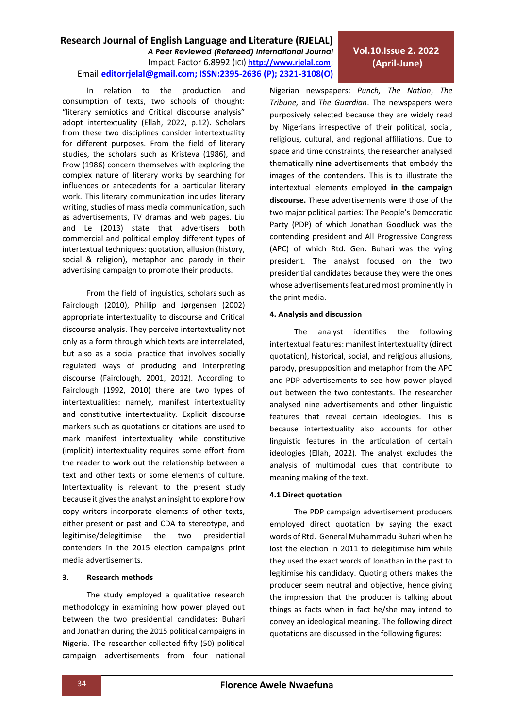**Research Journal of English Language and Literature (RJELAL)**

Email:**editorrjelal@gmail.com; ISSN:2395-2636 (P); 2321-3108(O)** 

*A Peer Reviewed (Refereed) International Journal* Impact Factor 6.8992 (ICI) **[http://www.rjelal.com](http://www.rjelal.com/)**;

## Frow (1986) concern themselves with exploring the complex nature of literary works by searching for influences or antecedents for a particular literary work. This literary communication includes literary writing, studies of mass media communication, such as advertisements, TV dramas and web pages. Liu and Le (2013) state that advertisers both commercial and political employ different types of

In relation to the production and consumption of texts, two schools of thought: "literary semiotics and Critical discourse analysis" adopt intertextuality (Ellah, 2022, p.12). Scholars from these two disciplines consider intertextuality for different purposes. From the field of literary studies, the scholars such as Kristeva (1986), and

intertextual techniques: quotation, allusion (history, social & religion), metaphor and parody in their advertising campaign to promote their products.

From the field of linguistics, scholars such as Fairclough (2010), Phillip and Jørgensen (2002) appropriate intertextuality to discourse and Critical discourse analysis. They perceive intertextuality not only as a form through which texts are interrelated, but also as a social practice that involves socially regulated ways of producing and interpreting discourse (Fairclough, 2001, 2012). According to Fairclough (1992, 2010) there are two types of intertextualities: namely, manifest intertextuality and constitutive intertextuality. Explicit discourse markers such as quotations or citations are used to mark manifest intertextuality while constitutive (implicit) intertextuality requires some effort from the reader to work out the relationship between a text and other texts or some elements of culture. Intertextuality is relevant to the present study because it gives the analyst an insight to explore how copy writers incorporate elements of other texts, either present or past and CDA to stereotype, and legitimise/delegitimise the two presidential contenders in the 2015 election campaigns print media advertisements.

# **3. Research methods**

The study employed a qualitative research methodology in examining how power played out between the two presidential candidates: Buhari and Jonathan during the 2015 political campaigns in Nigeria. The researcher collected fifty (50) political campaign advertisements from four national Nigerian newspapers: *Punch, The Nation*, *The Tribune,* and *The Guardian*. The newspapers were purposively selected because they are widely read by Nigerians irrespective of their political, social, religious, cultural, and regional affiliations. Due to space and time constraints, the researcher analysed thematically **nine** advertisements that embody the images of the contenders. This is to illustrate the intertextual elements employed **in the campaign discourse.** These advertisements were those of the two major political parties: The People's Democratic Party (PDP) of which Jonathan Goodluck was the contending president and All Progressive Congress (APC) of which Rtd. Gen. Buhari was the vying president. The analyst focused on the two presidential candidates because they were the ones whose advertisements featured most prominently in the print media.

## **4. Analysis and discussion**

The analyst identifies the following intertextual features: manifest intertextuality (direct quotation), historical, social, and religious allusions, parody, presupposition and metaphor from the APC and PDP advertisements to see how power played out between the two contestants. The researcher analysed nine advertisements and other linguistic features that reveal certain ideologies. This is because intertextuality also accounts for other linguistic features in the articulation of certain ideologies (Ellah, 2022). The analyst excludes the analysis of multimodal cues that contribute to meaning making of the text.

#### **4.1 Direct quotation**

The PDP campaign advertisement producers employed direct quotation by saying the exact words of Rtd. General Muhammadu Buhari when he lost the election in 2011 to delegitimise him while they used the exact words of Jonathan in the past to legitimise his candidacy. Quoting others makes the producer seem neutral and objective, hence giving the impression that the producer is talking about things as facts when in fact he/she may intend to convey an ideological meaning. The following direct quotations are discussed in the following figures:

# **Vol.10.Issue 2. 2022 (April-June)**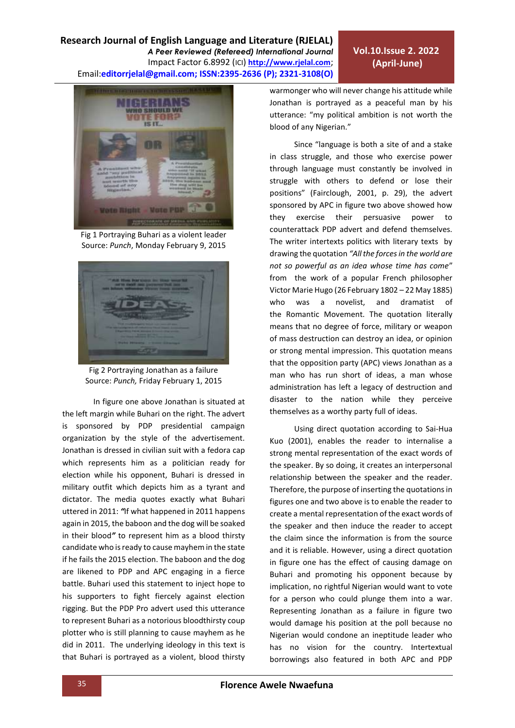

Fig 1 Portraying Buhari as a violent leader Source: *Punch*, Monday February 9, 2015



Fig 2 Portraying Jonathan as a failure Source: *Punch,* Friday February 1, 2015

In figure one above Jonathan is situated at the left margin while Buhari on the right. The advert is sponsored by PDP presidential campaign organization by the style of the advertisement. Jonathan is dressed in civilian suit with a fedora cap which represents him as a politician ready for election while his opponent, Buhari is dressed in military outfit which depicts him as a tyrant and dictator. The media quotes exactly what Buhari uttered in 2011: *"*If what happened in 2011 happens again in 2015, the baboon and the dog will be soaked in their blood*"* to represent him as a blood thirsty candidate who is ready to cause mayhem in the state if he fails the 2015 election. The baboon and the dog are likened to PDP and APC engaging in a fierce battle. Buhari used this statement to inject hope to his supporters to fight fiercely against election rigging. But the PDP Pro advert used this utterance to represent Buhari as a notorious bloodthirsty coup plotter who is still planning to cause mayhem as he did in 2011. The underlying ideology in this text is that Buhari is portrayed as a violent, blood thirsty warmonger who will never change his attitude while Jonathan is portrayed as a peaceful man by his utterance: "my political ambition is not worth the blood of any Nigerian."

Since "language is both a site of and a stake in class struggle, and those who exercise power through language must constantly be involved in struggle with others to defend or lose their positions" (Fairclough, 2001, p. 29), the advert sponsored by APC in figure two above showed how they exercise their persuasive power to counterattack PDP advert and defend themselves. The writer intertexts politics with literary texts by drawing the quotation *"All the forces in the world are not so powerful as an idea whose time has come*" from the work of a popular French philosopher Victor Marie Hugo [\(26 February](https://en.wikiquote.org/wiki/26_February) [1802](https://en.wikiquote.org/wiki/1802) – [22 May](https://en.wikiquote.org/wiki/22_May) [1885\)](https://en.wikiquote.org/wiki/1885) who was a novelist, and dramatist of the [Romantic](https://en.wikipedia.org/wiki/romanticism) Movement. The quotation literally means that no degree of force, military or weapon of mass destruction can destroy an idea, or opinion or strong mental impression. This quotation means that the opposition party (APC) views Jonathan as a man who has run short of ideas, a man whose administration has left a legacy of destruction and disaster to the nation while they perceive themselves as a worthy party full of ideas.

Using direct quotation according to Sai-Hua Kuo (2001), enables the reader to internalise a strong mental representation of the exact words of the speaker. By so doing, it creates an interpersonal relationship between the speaker and the reader. Therefore, the purpose of inserting the quotations in figures one and two above is to enable the reader to create a mental representation of the exact words of the speaker and then induce the reader to accept the claim since the information is from the source and it is reliable. However, using a direct quotation in figure one has the effect of causing damage on Buhari and promoting his opponent because by implication, no rightful Nigerian would want to vote for a person who could plunge them into a war. Representing Jonathan as a failure in figure two would damage his position at the poll because no Nigerian would condone an ineptitude leader who has no vision for the country. Intertextual borrowings also featured in both APC and PDP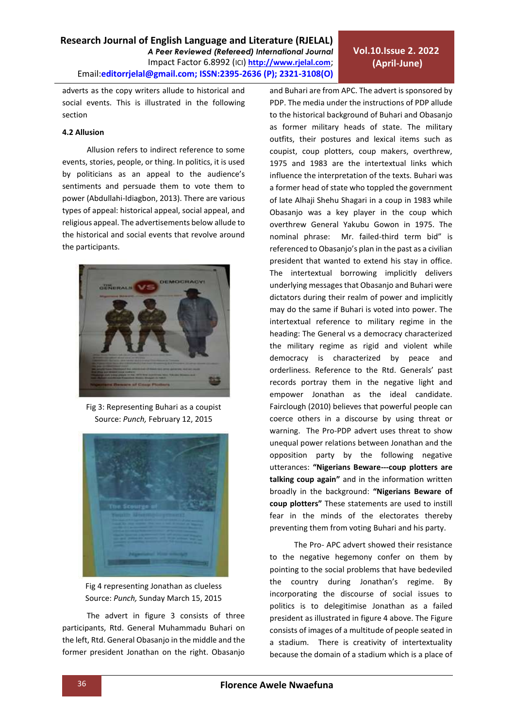# **Vol.10.Issue 2. 2022 (April-June)**

adverts as the copy writers allude to historical and social events. This is illustrated in the following section

#### **4.2 Allusion**

Allusion refers to indirect reference to some events, stories, people, or thing. In politics, it is used by politicians as an appeal to the audience's sentiments and persuade them to vote them to power (Abdullahi-Idiagbon, 2013). There are various types of appeal: historical appeal, social appeal, and religious appeal. The advertisements below allude to the historical and social events that revolve around the participants.



Fig 3: Representing Buhari as a coupist Source: *Punch,* February 12, 2015



Fig 4 representing Jonathan as clueless Source: *Punch,* Sunday March 15, 2015

The advert in figure 3 consists of three participants, Rtd. General Muhammadu Buhari on the left, Rtd. General Obasanjo in the middle and the former president Jonathan on the right. Obasanjo and Buhari are from APC. The advert is sponsored by PDP. The media under the instructions of PDP allude to the historical background of Buhari and Obasanjo as former military heads of state. The military outfits, their postures and lexical items such as coupist, coup plotters, coup makers, overthrew, 1975 and 1983 are the intertextual links which influence the interpretation of the texts. Buhari was a former head of state who toppled the government of late Alhaji Shehu Shagari in a coup in 1983 while Obasanjo was a key player in the coup which overthrew General Yakubu Gowon in 1975. The nominal phrase: Mr. failed-third term bid" is referenced to Obasanjo's plan in the past as a civilian president that wanted to extend his stay in office. The intertextual borrowing implicitly delivers underlying messages that Obasanjo and Buhari were dictators during their realm of power and implicitly may do the same if Buhari is voted into power. The intertextual reference to military regime in the heading: The General vs a democracy characterized the military regime as rigid and violent while democracy is characterized by peace and orderliness. Reference to the Rtd. Generals' past records portray them in the negative light and empower Jonathan as the ideal candidate. Fairclough (2010) believes that powerful people can coerce others in a discourse by using threat or warning. The Pro-PDP advert uses threat to show unequal power relations between Jonathan and the opposition party by the following negative utterances: **"Nigerians Beware---coup plotters are talking coup again"** and in the information written broadly in the background: **"Nigerians Beware of coup plotters"** These statements are used to instill fear in the minds of the electorates thereby preventing them from voting Buhari and his party.

The Pro- APC advert showed their resistance to the negative hegemony confer on them by pointing to the social problems that have bedeviled the country during Jonathan's regime. By incorporating the discourse of social issues to politics is to delegitimise Jonathan as a failed president as illustrated in figure 4 above. The Figure consists of images of a multitude of people seated in a stadium. There is creativity of intertextuality because the domain of a stadium which is a place of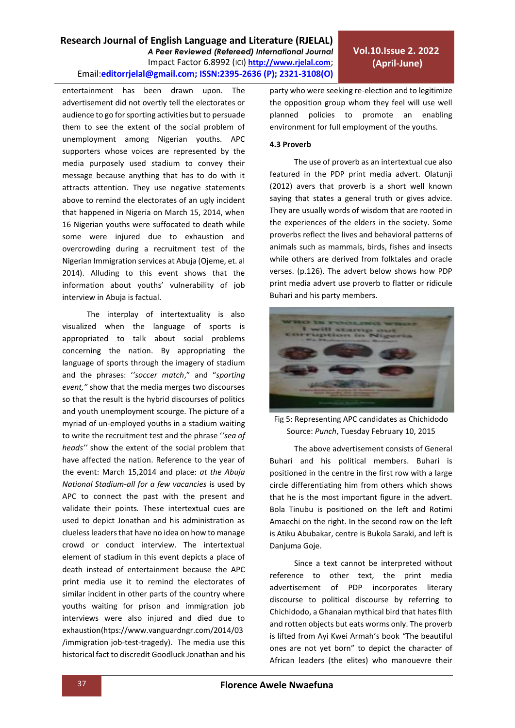entertainment has been drawn upon. The advertisement did not overtly tell the electorates or audience to go for sporting activities but to persuade them to see the extent of the social problem of unemployment among Nigerian youths. APC supporters whose voices are represented by the media purposely used stadium to convey their message because anything that has to do with it attracts attention. They use negative statements above to remind the electorates of an ugly incident that happened in Nigeria on March 15, 2014, when 16 Nigerian youths were suffocated to death while some were injured due to exhaustion and overcrowding during a recruitment test of the Nigerian Immigration services at Abuja (Ojeme, et. al 2014). Alluding to this event shows that the information about youths' vulnerability of job interview in Abuja is factual.

The interplay of intertextuality is also visualized when the language of sports is appropriated to talk about social problems concerning the nation. By appropriating the language of sports through the imagery of stadium and the phrases: '*'soccer match*," and "*sporting event,"* show that the media merges two discourses so that the result is the hybrid discourses of politics and youth unemployment scourge. The picture of a myriad of un-employed youths in a stadium waiting to write the recruitment test and the phrase '*'sea of heads''* show the extent of the social problem that have affected the nation. Reference to the year of the event: March 15,2014 and place: *at the Abuja National Stadium-all for a few vacancies* is used by APC to connect the past with the present and validate their points*.* These intertextual cues are used to depict Jonathan and his administration as clueless leaders that have no idea on how to manage crowd or conduct interview. The intertextual element of stadium in this event depicts a place of death instead of entertainment because the APC print media use it to remind the electorates of similar incident in other parts of the country where youths waiting for prison and immigration job interviews were also injured and died due to exhaustion(htps://www.vanguardngr.com/2014/03 /immigration job-test-tragedy). The media use this historical fact to discredit Goodluck Jonathan and his

party who were seeking re-election and to legitimize the opposition group whom they feel will use well planned policies to promote an enabling environment for full employment of the youths.

#### **4.3 Proverb**

The use of proverb as an intertextual cue also featured in the PDP print media advert. Olatunji (2012) avers that proverb is a short well known saying that states a general truth or gives advice. They are usually words of wisdom that are rooted in the experiences of the elders in the society. Some proverbs reflect the lives and behavioral patterns of animals such as mammals, birds, fishes and insects while others are derived from folktales and oracle verses. (p.126). The advert below shows how PDP print media advert use proverb to flatter or ridicule Buhari and his party members.



Fig 5: Representing APC candidates as Chichidodo Source: *Punch*, Tuesday February 10, 2015

The above advertisement consists of General Buhari and his political members. Buhari is positioned in the centre in the first row with a large circle differentiating him from others which shows that he is the most important figure in the advert. Bola Tinubu is positioned on the left and Rotimi Amaechi on the right. In the second row on the left is Atiku Abubakar, centre is Bukola Saraki, and left is Danjuma Goje.

Since a text cannot be interpreted without reference to other text, the print media advertisement of PDP incorporates literary discourse to political discourse by referring to Chichidodo, a Ghanaian mythical bird that hates filth and rotten objects but eats worms only. The proverb is lifted from Ayi Kwei Armah's book *"*The beautiful ones are not yet born" to depict the character of African leaders (the elites) who manouevre their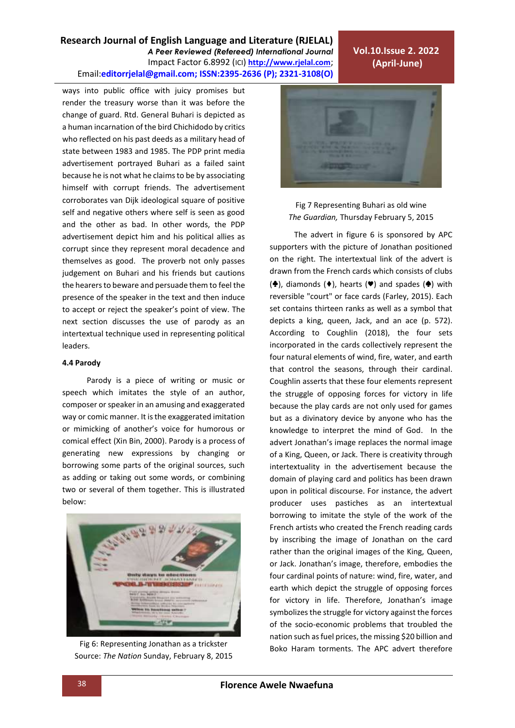# **Research Journal of English Language and Literature (RJELAL)**

*A Peer Reviewed (Refereed) International Journal* Impact Factor 6.8992 (ICI) **[http://www.rjelal.com](http://www.rjelal.com/)**; Email:**editorrjelal@gmail.com; ISSN:2395-2636 (P); 2321-3108(O)** 

ways into public office with juicy promises but render the treasury worse than it was before the change of guard. Rtd. General Buhari is depicted as a human incarnation of the bird Chichidodo by critics who reflected on his past deeds as a military head of state between 1983 and 1985. The PDP print media advertisement portrayed Buhari as a failed saint because he is not what he claims to be by associating himself with corrupt friends. The advertisement corroborates van Dijk ideological square of positive self and negative others where self is seen as good and the other as bad. In other words, the PDP advertisement depict him and his political allies as corrupt since they represent moral decadence and themselves as good. The proverb not only passes judgement on Buhari and his friends but cautions the hearers to beware and persuade them to feel the presence of the speaker in the text and then induce to accept or reject the speaker's point of view. The next section discusses the use of parody as an intertextual technique used in representing political leaders.

#### **4.4 Parody**

Parody is a piece of writing or music or speech which imitates the style of an author, composer or speaker in an amusing and exaggerated way or comic manner. It is the exaggerated imitation or mimicking of another's voice for humorous or comical effect (Xin Bin, 2000). Parody is a process of generating new expressions by changing or borrowing some parts of the original sources, such as adding or taking out some words, or combining two or several of them together. This is illustrated below:



Fig 6: Representing Jonathan as a trickster Source: *The Nation* Sunday, February 8, 2015



**Vol.10.Issue 2. 2022 (April-June)**

Fig 7 Representing Buhari as old wine *The Guardian,* Thursday February 5, 2015

The advert in figure 6 is sponsored by APC supporters with the picture of Jonathan positioned on the right. The intertextual link of the advert is drawn from the French cards which consists of clubs (♦), diamonds (♦), hearts (♥) and spades (♦) with reversible "court" or face cards (Farley, 2015). Each set contains thirteen ranks as well as a symbol that depicts a king, queen, Jack, and an ace (p. 572). According to Coughlin (2018), the four sets incorporated in the cards collectively represent the four natural elements of wind, fire, water, and earth that control the seasons, through their cardinal. Coughlin asserts that these four elements represent the struggle of opposing forces for victory in life because the play cards are not only used for games but as a divinatory device by anyone who has the knowledge to interpret the mind of God. In the advert Jonathan's image replaces the normal image of a King, Queen, or Jack. There is creativity through intertextuality in the advertisement because the domain of playing card and politics has been drawn upon in political discourse. For instance, the advert producer uses pastiches as an intertextual borrowing to imitate the style of the work of the French artists who created the French reading cards by inscribing the image of Jonathan on the card rather than the original images of the King, Queen, or Jack. Jonathan's image, therefore, embodies the four cardinal points of nature: wind, fire, water, and earth which depict the struggle of opposing forces for victory in life. Therefore, Jonathan's image symbolizes the struggle for victory against the forces of the socio-economic problems that troubled the nation such as fuel prices, the missing \$20 billion and Boko Haram torments. The APC advert therefore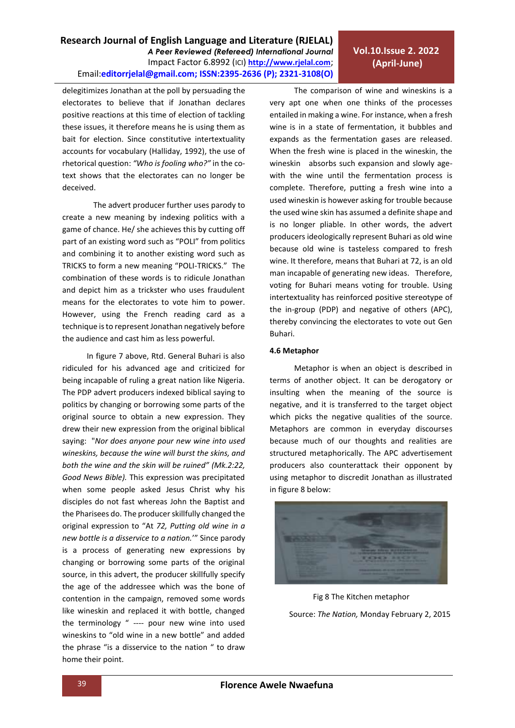*A Peer Reviewed (Refereed) International Journal* Impact Factor 6.8992 (ICI) **[http://www.rjelal.com](http://www.rjelal.com/)**;

**Research Journal of English Language and Literature (RJELAL)**

Email:**editorrjelal@gmail.com; ISSN:2395-2636 (P); 2321-3108(O)** 

bait for election. Since constitutive intertextuality accounts for vocabulary (Halliday, 1992), the use of rhetorical question: *"Who is fooling who?"* in the cotext shows that the electorates can no longer be deceived.

delegitimizes Jonathan at the poll by persuading the

The advert producer further uses parody to create a new meaning by indexing politics with a game of chance. He/ she achieves this by cutting off part of an existing word such as "POLI" from politics and combining it to another existing word such as TRICKS to form a new meaning "POLI-TRICKS." The combination of these words is to ridicule Jonathan and depict him as a trickster who uses fraudulent means for the electorates to vote him to power. However, using the French reading card as a technique isto represent Jonathan negatively before the audience and cast him as less powerful.

In figure 7 above, Rtd. General Buhari is also ridiculed for his advanced age and criticized for being incapable of ruling a great nation like Nigeria. The PDP advert producers indexed biblical saying to politics by changing or borrowing some parts of the original source to obtain a new expression. They drew their new expression from the original biblical saying: "*Nor does anyone pour new wine into used wineskins, because the wine will burst the skins, and both the wine and the skin will be ruined" (Mk.2:22, Good News Bible).* This expression was precipitated when some people asked Jesus Christ why his disciples do not fast whereas John the Baptist and the Pharisees do. The producer skillfully changed the original expression to "At *72, Putting old wine in a new bottle is a disservice to a nation.*'" Since parody is a process of generating new expressions by changing or borrowing some parts of the original source, in this advert, the producer skillfully specify the age of the addressee which was the bone of contention in the campaign, removed some words like wineskin and replaced it with bottle, changed the terminology " ---- pour new wine into used wineskins to "old wine in a new bottle" and added the phrase "is a disservice to the nation " to draw home their point.

The comparison of wine and wineskins is a very apt one when one thinks of the processes entailed in making a wine. For instance, when a fresh wine is in a state of fermentation, it bubbles and expands as the fermentation gases are released. When the fresh wine is placed in the wineskin, the wineskin absorbs such expansion and slowly agewith the wine until the fermentation process is complete. Therefore, putting a fresh wine into a used wineskin is however asking for trouble because the used wine skin has assumed a definite shape and is no longer pliable. In other words, the advert producers ideologically represent Buhari as old wine because old wine is tasteless compared to fresh wine. It therefore, means that Buhari at 72, is an old man incapable of generating new ideas. Therefore, voting for Buhari means voting for trouble. Using intertextuality has reinforced positive stereotype of the in-group (PDP) and negative of others (APC), thereby convincing the electorates to vote out Gen Buhari.

#### **4.6 Metaphor**

Metaphor is when an object is described in terms of another object. It can be derogatory or insulting when the meaning of the source is negative, and it is transferred to the target object which picks the negative qualities of the source. Metaphors are common in everyday discourses because much of our thoughts and realities are structured metaphorically. The APC advertisement producers also counterattack their opponent by using metaphor to discredit Jonathan as illustrated in figure 8 below:



Fig 8 The Kitchen metaphor Source: *The Nation,* Monday February 2, 2015

# **Vol.10.Issue 2. 2022 (April-June)**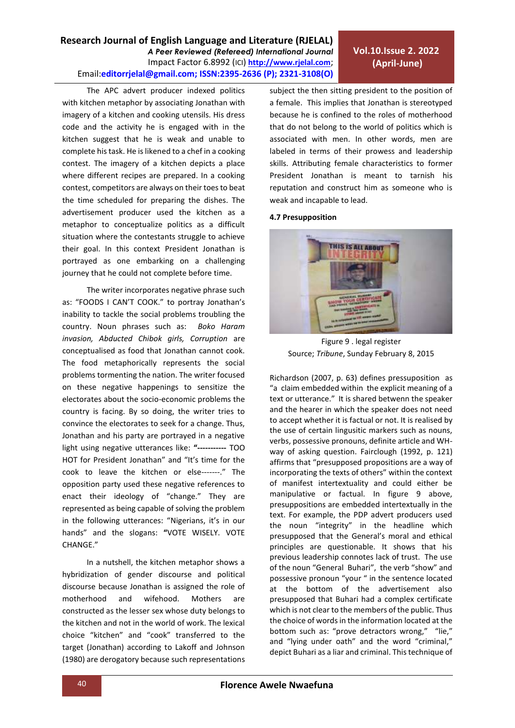The APC advert producer indexed politics with kitchen metaphor by associating Jonathan with imagery of a kitchen and cooking utensils. His dress code and the activity he is engaged with in the kitchen suggest that he is weak and unable to complete his task. He is likened to a chef in a cooking contest. The imagery of a kitchen depicts a place where different recipes are prepared. In a cooking contest, competitors are always on their toes to beat the time scheduled for preparing the dishes. The advertisement producer used the kitchen as a metaphor to conceptualize politics as a difficult situation where the contestants struggle to achieve their goal. In this context President Jonathan is portrayed as one embarking on a challenging journey that he could not complete before time.

The writer incorporates negative phrase such as: "FOODS I CAN'T COOK." to portray Jonathan's inability to tackle the social problems troubling the country. Noun phrases such as: *Boko Haram invasion, Abducted Chibok girls, Corruption* are conceptualised as food that Jonathan cannot cook. The food metaphorically represents the social problems tormenting the nation. The writer focused on these negative happenings to sensitize the electorates about the socio-economic problems the country is facing. By so doing, the writer tries to convince the electorates to seek for a change. Thus, Jonathan and his party are portrayed in a negative light using negative utterances like: **"-----------** TOO HOT for President Jonathan" and "It's time for the cook to leave the kitchen or else-------." The opposition party used these negative references to enact their ideology of "change." They are represented as being capable of solving the problem in the following utterances: "Nigerians, it's in our hands" and the slogans: **"**VOTE WISELY. VOTE CHANGE."

In a nutshell, the kitchen metaphor shows a hybridization of gender discourse and political discourse because Jonathan is assigned the role of motherhood and wifehood. Mothers are constructed as the lesser sex whose duty belongs to the kitchen and not in the world of work. The lexical choice "kitchen" and "cook" transferred to the target (Jonathan) according to Lakoff and Johnson (1980) are derogatory because such representations subject the then sitting president to the position of a female. This implies that Jonathan is stereotyped because he is confined to the roles of motherhood that do not belong to the world of politics which is associated with men. In other words, men are labeled in terms of their prowess and leadership skills. Attributing female characteristics to former President Jonathan is meant to tarnish his reputation and construct him as someone who is weak and incapable to lead.

## **4.7 Presupposition**



Figure 9 . legal register Source; *Tribune*, Sunday February 8, 2015

Richardson (2007, p. 63) defines pressuposition as "a claim embedded within the explicit meaning of a text or utterance." It is shared betwenn the speaker and the hearer in which the speaker does not need to accept whether it is factual or not. It is realised by the use of certain lingusitic markers such as nouns, verbs, possessive pronouns, definite article and WHway of asking question. Fairclough (1992, p. 121) affirms that "presupposed propositions are a way of incorporating the texts of others" within the context of manifest intertextuality and could either be manipulative or factual. In figure 9 above, presuppositions are embedded intertextually in the text. For example, the PDP advert producers used the noun "integrity" in the headline which presupposed that the General's moral and ethical principles are questionable. It shows that his previous leadership connotes lack of trust. The use of the noun "General Buhari", the verb "show" and possessive pronoun "your " in the sentence located at the bottom of the advertisement also presupposed that Buhari had a complex certificate which is not clear to the members of the public. Thus the choice of words in the information located at the bottom such as: "prove detractors wrong," "lie," and "lying under oath" and the word "criminal," depict Buhari as a liar and criminal. This technique of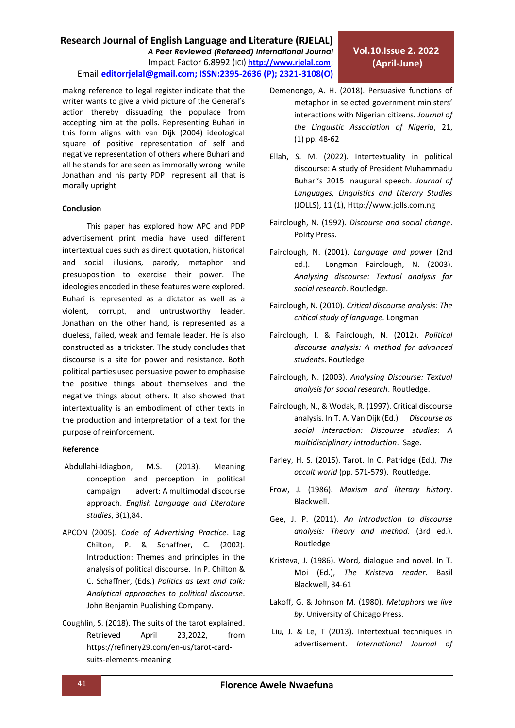makng reference to legal register indicate that the writer wants to give a vivid picture of the General's action thereby dissuading the populace from accepting him at the polls. Representing Buhari in this form aligns with van Dijk (2004) ideological square of positive representation of self and negative representation of others where Buhari and all he stands for are seen as immorally wrong while Jonathan and his party PDP represent all that is morally upright

## **Conclusion**

This paper has explored how APC and PDP advertisement print media have used different intertextual cues such as direct quotation, historical and social illusions, parody, metaphor and presupposition to exercise their power. The ideologies encoded in these features were explored. Buhari is represented as a dictator as well as a violent, corrupt, and untrustworthy leader. Jonathan on the other hand, is represented as a clueless, failed, weak and female leader. He is also constructed as a trickster. The study concludes that discourse is a site for power and resistance. Both political parties used persuasive power to emphasise the positive things about themselves and the negative things about others. It also showed that intertextuality is an embodiment of other texts in the production and interpretation of a text for the purpose of reinforcement.

## **Reference**

- Abdullahi-Idiagbon, M.S. (2013). Meaning conception and perception in political campaign advert: A multimodal discourse approach. *English Language and Literature studies*, 3(1),84.
- APCON (2005). *Code of Advertising Practice*. Lag Chilton, P. & Schaffner, C. (2002). Introduction: Themes and principles in the analysis of political discourse. In P. Chilton & C. Schaffner, (Eds.) *Politics as text and talk: Analytical approaches to political discourse*. John Benjamin Publishing Company.
- Coughlin, S. (2018). The suits of the tarot explained. Retrieved April 23,2022, from https://refinery29.com/en-us/tarot-cardsuits-elements-meaning
- Demenongo, A. H. (2018). Persuasive functions of metaphor in selected government ministers' interactions with Nigerian citizens*. Journal of the Linguistic Association of Nigeria*, 21, (1) pp. 48-62
- Ellah, S. M. (2022). Intertextuality in political discourse: A study of President Muhammadu Buhari's 2015 inaugural speech. *Journal of Languages, Linguistics and Literary Studies*  (JOLLS), 11 (1), [Http://www.jolls.com.ng](http://www.jolls.com.ng/)
- Fairclough, N. (1992). *Discourse and social change*. Polity Press.
- Fairclough, N. (2001). *Language and power* (2nd ed.). Longman Fairclough, N. (2003). *Analysing discourse: Textual analysis for social research*. Routledge.
- Fairclough, N. (2010). *Critical discourse analysis: The critical study of language.* Longman
- Fairclough, I. & Fairclough, N. (2012). *Political discourse analysis: A method for advanced students*. Routledge
- Fairclough, N. (2003). *Analysing Discourse: Textual analysis for social research*. Routledge.
- Fairclough, N., & Wodak, R. (1997). Critical discourse analysis. In T. A. Van Dijk (Ed.) *Discourse as social interaction: Discourse studies*: *A multidisciplinary introduction*. Sage.
- Farley, H. S. (2015). Tarot. In C. Patridge (Ed.), *The occult world* (pp. 571-579). Routledge.
- Frow, J. (1986). *Maxism and literary history*. Blackwell.
- Gee, J. P. (2011). *An introduction to discourse analysis: Theory and method*. (3rd ed.). Routledge
- Kristeva, J. (1986). Word, dialogue and novel. In T. Moi (Ed.), *The Kristeva reader*. Basil Blackwell, 34-61
- Lakoff, G. & Johnson M. (1980). *Metaphors we live by*. University of Chicago Press.
- Liu, J. & Le, T (2013). Intertextual techniques in advertisement. *International Journal of*